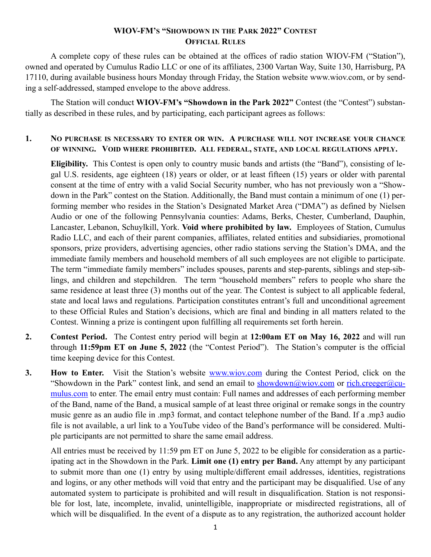## **WIOV-FM'S "SHOWDOWN IN THE PARK 2022" CONTEST OFFICIAL RULES**

A complete copy of these rules can be obtained at the offices of radio station WIOV-FM ("Station"), owned and operated by Cumulus Radio LLC or one of its affiliates, 2300 Vartan Way, Suite 130, Harrisburg, PA 17110, during available business hours Monday through Friday, the Station website www.wiov.com, or by sending a self-addressed, stamped envelope to the above address.

The Station will conduct **WIOV-FM's "Showdown in the Park 2022"** Contest (the "Contest") substantially as described in these rules, and by participating, each participant agrees as follows:

## **1. NO PURCHASE IS NECESSARY TO ENTER OR WIN. A PURCHASE WILL NOT INCREASE YOUR CHANCE OF WINNING. VOID WHERE PROHIBITED. ALL FEDERAL, STATE, AND LOCAL REGULATIONS APPLY.**

**Eligibility.** This Contest is open only to country music bands and artists (the "Band"), consisting of legal U.S. residents, age eighteen (18) years or older, or at least fifteen (15) years or older with parental consent at the time of entry with a valid Social Security number, who has not previously won a "Showdown in the Park" contest on the Station. Additionally, the Band must contain a minimum of one (1) performing member who resides in the Station's Designated Market Area ("DMA") as defined by Nielsen Audio or one of the following Pennsylvania counties: Adams, Berks, Chester, Cumberland, Dauphin, Lancaster, Lebanon, Schuylkill, York. **Void where prohibited by law.** Employees of Station, Cumulus Radio LLC, and each of their parent companies, affiliates, related entities and subsidiaries, promotional sponsors, prize providers, advertising agencies, other radio stations serving the Station's DMA, and the immediate family members and household members of all such employees are not eligible to participate. The term "immediate family members" includes spouses, parents and step-parents, siblings and step-siblings, and children and stepchildren. The term "household members" refers to people who share the same residence at least three (3) months out of the year. The Contest is subject to all applicable federal, state and local laws and regulations. Participation constitutes entrant's full and unconditional agreement to these Official Rules and Station's decisions, which are final and binding in all matters related to the Contest. Winning a prize is contingent upon fulfilling all requirements set forth herein.

- **2. Contest Period.** The Contest entry period will begin at **12:00am ET on May 16, 2022** and will run through **11:59pm ET on June 5, 2022** (the "Contest Period"). The Station's computer is the official time keeping device for this Contest.
- **3. How to Enter.** Visit the Station's website [www.wiov.com](http://www.wiov.com) during the Contest Period, click on the "Showdown in the Park" contest link, and send an email to [showdown@wiov.com](mailto:showdown@wiov.com) or [rich.creeger@cu](mailto:rich.creeger@cumulus.com)[mulus.com](mailto:rich.creeger@cumulus.com) to enter. The email entry must contain: Full names and addresses of each performing member of the Band, name of the Band, a musical sample of at least three original or remake songs in the country music genre as an audio file in .mp3 format, and contact telephone number of the Band. If a .mp3 audio file is not available, a url link to a YouTube video of the Band's performance will be considered. Multiple participants are not permitted to share the same email address.

All entries must be received by 11:59 pm ET on June 5, 2022 to be eligible for consideration as a participating act in the Showdown in the Park. **Limit one (1) entry per Band.** Any attempt by any participant to submit more than one (1) entry by using multiple/different email addresses, identities, registrations and logins, or any other methods will void that entry and the participant may be disqualified. Use of any automated system to participate is prohibited and will result in disqualification. Station is not responsible for lost, late, incomplete, invalid, unintelligible, inappropriate or misdirected registrations, all of which will be disqualified. In the event of a dispute as to any registration, the authorized account holder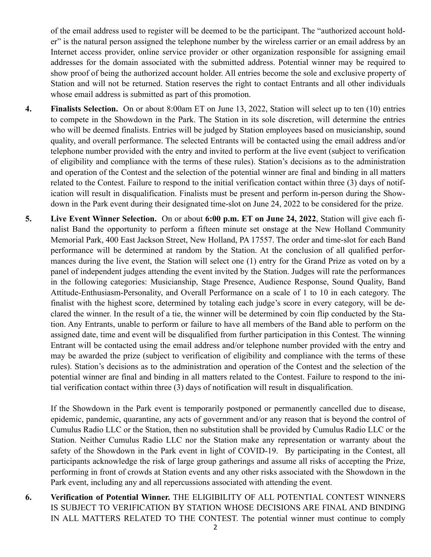of the email address used to register will be deemed to be the participant. The "authorized account holder" is the natural person assigned the telephone number by the wireless carrier or an email address by an Internet access provider, online service provider or other organization responsible for assigning email addresses for the domain associated with the submitted address. Potential winner may be required to show proof of being the authorized account holder. All entries become the sole and exclusive property of Station and will not be returned. Station reserves the right to contact Entrants and all other individuals whose email address is submitted as part of this promotion.

- **4. Finalists Selection.** On or about 8:00am ET on June 13, 2022, Station will select up to ten (10) entries to compete in the Showdown in the Park. The Station in its sole discretion, will determine the entries who will be deemed finalists. Entries will be judged by Station employees based on musicianship, sound quality, and overall performance. The selected Entrants will be contacted using the email address and/or telephone number provided with the entry and invited to perform at the live event (subject to verification of eligibility and compliance with the terms of these rules). Station's decisions as to the administration and operation of the Contest and the selection of the potential winner are final and binding in all matters related to the Contest. Failure to respond to the initial verification contact within three (3) days of notification will result in disqualification. Finalists must be present and perform in-person during the Showdown in the Park event during their designated time-slot on June 24, 2022 to be considered for the prize.
- **5. Live Event Winner Selection.** On or about **6:00 p.m. ET on June 24, 2022**, Station will give each finalist Band the opportunity to perform a fifteen minute set onstage at the New Holland Community Memorial Park, 400 East Jackson Street, New Holland, PA 17557. The order and time-slot for each Band performance will be determined at random by the Station. At the conclusion of all qualified performances during the live event, the Station will select one (1) entry for the Grand Prize as voted on by a panel of independent judges attending the event invited by the Station. Judges will rate the performances in the following categories: Musicianship, Stage Presence, Audience Response, Sound Quality, Band Attitude-Enthusiasm-Personality, and Overall Performance on a scale of 1 to 10 in each category. The finalist with the highest score, determined by totaling each judge's score in every category, will be declared the winner. In the result of a tie, the winner will be determined by coin flip conducted by the Station. Any Entrants, unable to perform or failure to have all members of the Band able to perform on the assigned date, time and event will be disqualified from further participation in this Contest. The winning Entrant will be contacted using the email address and/or telephone number provided with the entry and may be awarded the prize (subject to verification of eligibility and compliance with the terms of these rules). Station's decisions as to the administration and operation of the Contest and the selection of the potential winner are final and binding in all matters related to the Contest. Failure to respond to the initial verification contact within three (3) days of notification will result in disqualification.

If the Showdown in the Park event is temporarily postponed or permanently cancelled due to disease, epidemic, pandemic, quarantine, any acts of government and/or any reason that is beyond the control of Cumulus Radio LLC or the Station, then no substitution shall be provided by Cumulus Radio LLC or the Station. Neither Cumulus Radio LLC nor the Station make any representation or warranty about the safety of the Showdown in the Park event in light of COVID-19. By participating in the Contest, all participants acknowledge the risk of large group gatherings and assume all risks of accepting the Prize, performing in front of crowds at Station events and any other risks associated with the Showdown in the Park event, including any and all repercussions associated with attending the event.

**6. Verification of Potential Winner.** THE ELIGIBILITY OF ALL POTENTIAL CONTEST WINNERS IS SUBJECT TO VERIFICATION BY STATION WHOSE DECISIONS ARE FINAL AND BINDING IN ALL MATTERS RELATED TO THE CONTEST. The potential winner must continue to comply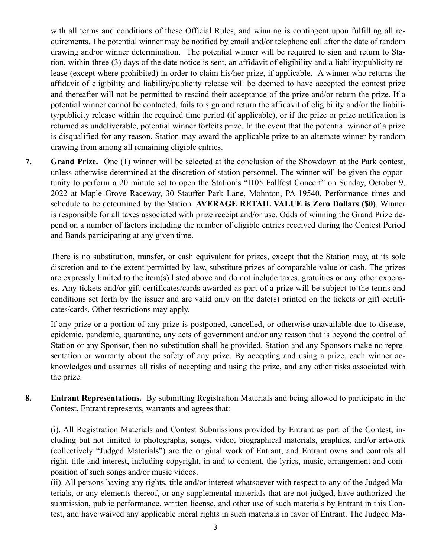with all terms and conditions of these Official Rules, and winning is contingent upon fulfilling all requirements. The potential winner may be notified by email and/or telephone call after the date of random drawing and/or winner determination. The potential winner will be required to sign and return to Station, within three (3) days of the date notice is sent, an affidavit of eligibility and a liability/publicity release (except where prohibited) in order to claim his/her prize, if applicable. A winner who returns the affidavit of eligibility and liability/publicity release will be deemed to have accepted the contest prize and thereafter will not be permitted to rescind their acceptance of the prize and/or return the prize. If a potential winner cannot be contacted, fails to sign and return the affidavit of eligibility and/or the liability/publicity release within the required time period (if applicable), or if the prize or prize notification is returned as undeliverable, potential winner forfeits prize. In the event that the potential winner of a prize is disqualified for any reason, Station may award the applicable prize to an alternate winner by random drawing from among all remaining eligible entries.

**7. Grand Prize.** One (1) winner will be selected at the conclusion of the Showdown at the Park contest, unless otherwise determined at the discretion of station personnel. The winner will be given the opportunity to perform a 20 minute set to open the Station's "I105 Fallfest Concert" on Sunday, October 9, 2022 at Maple Grove Raceway, 30 Stauffer Park Lane, Mohnton, PA 19540. Performance times and schedule to be determined by the Station. **AVERAGE RETAIL VALUE is Zero Dollars (\$0)**. Winner is responsible for all taxes associated with prize receipt and/or use. Odds of winning the Grand Prize depend on a number of factors including the number of eligible entries received during the Contest Period and Bands participating at any given time.

There is no substitution, transfer, or cash equivalent for prizes, except that the Station may, at its sole discretion and to the extent permitted by law, substitute prizes of comparable value or cash. The prizes are expressly limited to the item(s) listed above and do not include taxes, gratuities or any other expenses. Any tickets and/or gift certificates/cards awarded as part of a prize will be subject to the terms and conditions set forth by the issuer and are valid only on the date(s) printed on the tickets or gift certificates/cards. Other restrictions may apply.

If any prize or a portion of any prize is postponed, cancelled, or otherwise unavailable due to disease, epidemic, pandemic, quarantine, any acts of government and/or any reason that is beyond the control of Station or any Sponsor, then no substitution shall be provided. Station and any Sponsors make no representation or warranty about the safety of any prize. By accepting and using a prize, each winner acknowledges and assumes all risks of accepting and using the prize, and any other risks associated with the prize.

**8. Entrant Representations.** By submitting Registration Materials and being allowed to participate in the Contest, Entrant represents, warrants and agrees that:

(i). All Registration Materials and Contest Submissions provided by Entrant as part of the Contest, including but not limited to photographs, songs, video, biographical materials, graphics, and/or artwork (collectively "Judged Materials") are the original work of Entrant, and Entrant owns and controls all right, title and interest, including copyright, in and to content, the lyrics, music, arrangement and composition of such songs and/or music videos.

(ii). All persons having any rights, title and/or interest whatsoever with respect to any of the Judged Materials, or any elements thereof, or any supplemental materials that are not judged, have authorized the submission, public performance, written license, and other use of such materials by Entrant in this Contest, and have waived any applicable moral rights in such materials in favor of Entrant. The Judged Ma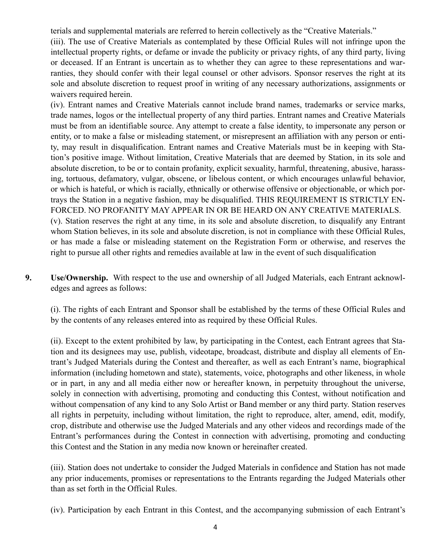terials and supplemental materials are referred to herein collectively as the "Creative Materials."

(iii). The use of Creative Materials as contemplated by these Official Rules will not infringe upon the intellectual property rights, or defame or invade the publicity or privacy rights, of any third party, living or deceased. If an Entrant is uncertain as to whether they can agree to these representations and warranties, they should confer with their legal counsel or other advisors. Sponsor reserves the right at its sole and absolute discretion to request proof in writing of any necessary authorizations, assignments or waivers required herein.

(iv). Entrant names and Creative Materials cannot include brand names, trademarks or service marks, trade names, logos or the intellectual property of any third parties. Entrant names and Creative Materials must be from an identifiable source. Any attempt to create a false identity, to impersonate any person or entity, or to make a false or misleading statement, or misrepresent an affiliation with any person or entity, may result in disqualification. Entrant names and Creative Materials must be in keeping with Station's positive image. Without limitation, Creative Materials that are deemed by Station, in its sole and absolute discretion, to be or to contain profanity, explicit sexuality, harmful, threatening, abusive, harassing, tortuous, defamatory, vulgar, obscene, or libelous content, or which encourages unlawful behavior, or which is hateful, or which is racially, ethnically or otherwise offensive or objectionable, or which portrays the Station in a negative fashion, may be disqualified. THIS REQUIREMENT IS STRICTLY EN-FORCED. NO PROFANITY MAY APPEAR IN OR BE HEARD ON ANY CREATIVE MATERIALS. (v). Station reserves the right at any time, in its sole and absolute discretion, to disqualify any Entrant whom Station believes, in its sole and absolute discretion, is not in compliance with these Official Rules, or has made a false or misleading statement on the Registration Form or otherwise, and reserves the right to pursue all other rights and remedies available at law in the event of such disqualification

**9. Use/Ownership.** With respect to the use and ownership of all Judged Materials, each Entrant acknowledges and agrees as follows:

(i). The rights of each Entrant and Sponsor shall be established by the terms of these Official Rules and by the contents of any releases entered into as required by these Official Rules.

(ii). Except to the extent prohibited by law, by participating in the Contest, each Entrant agrees that Station and its designees may use, publish, videotape, broadcast, distribute and display all elements of Entrant's Judged Materials during the Contest and thereafter, as well as each Entrant's name, biographical information (including hometown and state), statements, voice, photographs and other likeness, in whole or in part, in any and all media either now or hereafter known, in perpetuity throughout the universe, solely in connection with advertising, promoting and conducting this Contest, without notification and without compensation of any kind to any Solo Artist or Band member or any third party. Station reserves all rights in perpetuity, including without limitation, the right to reproduce, alter, amend, edit, modify, crop, distribute and otherwise use the Judged Materials and any other videos and recordings made of the Entrant's performances during the Contest in connection with advertising, promoting and conducting this Contest and the Station in any media now known or hereinafter created.

(iii). Station does not undertake to consider the Judged Materials in confidence and Station has not made any prior inducements, promises or representations to the Entrants regarding the Judged Materials other than as set forth in the Official Rules.

(iv). Participation by each Entrant in this Contest, and the accompanying submission of each Entrant's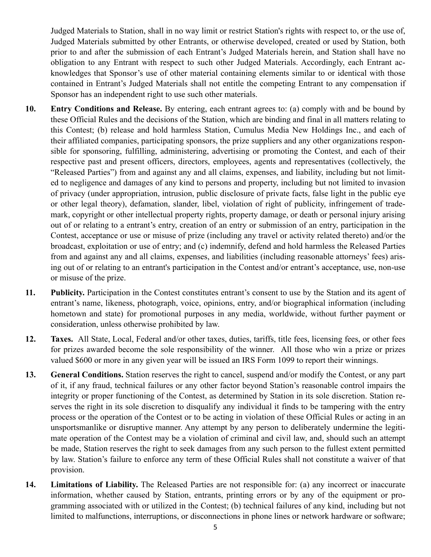Judged Materials to Station, shall in no way limit or restrict Station's rights with respect to, or the use of, Judged Materials submitted by other Entrants, or otherwise developed, created or used by Station, both prior to and after the submission of each Entrant's Judged Materials herein, and Station shall have no obligation to any Entrant with respect to such other Judged Materials. Accordingly, each Entrant acknowledges that Sponsor's use of other material containing elements similar to or identical with those contained in Entrant's Judged Materials shall not entitle the competing Entrant to any compensation if Sponsor has an independent right to use such other materials.

- **10. Entry Conditions and Release.** By entering, each entrant agrees to: (a) comply with and be bound by these Official Rules and the decisions of the Station, which are binding and final in all matters relating to this Contest; (b) release and hold harmless Station, Cumulus Media New Holdings Inc., and each of their affiliated companies, participating sponsors, the prize suppliers and any other organizations responsible for sponsoring, fulfilling, administering, advertising or promoting the Contest, and each of their respective past and present officers, directors, employees, agents and representatives (collectively, the "Released Parties") from and against any and all claims, expenses, and liability, including but not limited to negligence and damages of any kind to persons and property, including but not limited to invasion of privacy (under appropriation, intrusion, public disclosure of private facts, false light in the public eye or other legal theory), defamation, slander, libel, violation of right of publicity, infringement of trademark, copyright or other intellectual property rights, property damage, or death or personal injury arising out of or relating to a entrant's entry, creation of an entry or submission of an entry, participation in the Contest, acceptance or use or misuse of prize (including any travel or activity related thereto) and/or the broadcast, exploitation or use of entry; and (c) indemnify, defend and hold harmless the Released Parties from and against any and all claims, expenses, and liabilities (including reasonable attorneys' fees) arising out of or relating to an entrant's participation in the Contest and/or entrant's acceptance, use, non-use or misuse of the prize.
- **11. Publicity.** Participation in the Contest constitutes entrant's consent to use by the Station and its agent of entrant's name, likeness, photograph, voice, opinions, entry, and/or biographical information (including hometown and state) for promotional purposes in any media, worldwide, without further payment or consideration, unless otherwise prohibited by law.
- **12. Taxes.** All State, Local, Federal and/or other taxes, duties, tariffs, title fees, licensing fees, or other fees for prizes awarded become the sole responsibility of the winner. All those who win a prize or prizes valued \$600 or more in any given year will be issued an IRS Form 1099 to report their winnings.
- **13. General Conditions.** Station reserves the right to cancel, suspend and/or modify the Contest, or any part of it, if any fraud, technical failures or any other factor beyond Station's reasonable control impairs the integrity or proper functioning of the Contest, as determined by Station in its sole discretion. Station reserves the right in its sole discretion to disqualify any individual it finds to be tampering with the entry process or the operation of the Contest or to be acting in violation of these Official Rules or acting in an unsportsmanlike or disruptive manner. Any attempt by any person to deliberately undermine the legitimate operation of the Contest may be a violation of criminal and civil law, and, should such an attempt be made, Station reserves the right to seek damages from any such person to the fullest extent permitted by law. Station's failure to enforce any term of these Official Rules shall not constitute a waiver of that provision.
- **14. Limitations of Liability.** The Released Parties are not responsible for: (a) any incorrect or inaccurate information, whether caused by Station, entrants, printing errors or by any of the equipment or programming associated with or utilized in the Contest; (b) technical failures of any kind, including but not limited to malfunctions, interruptions, or disconnections in phone lines or network hardware or software;